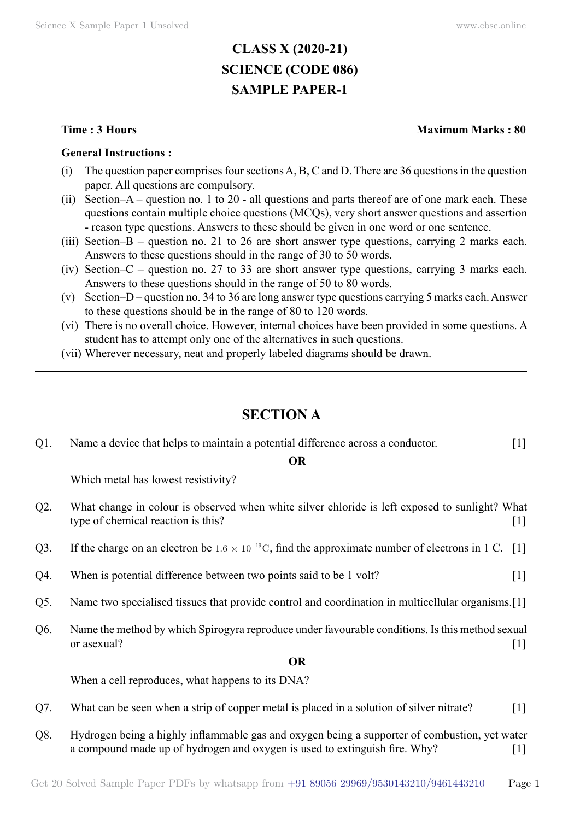# **CLASS X (2020-21) SCIENCE (CODE 086) SAMPLE PAPER-1**

#### **General Instructions :**

- (i) The question paper comprises four sections A, B, C and D. There are 36 questions in the question paper. All questions are compulsory.
- (ii) Section–A question no. 1 to 20 all questions and parts thereof are of one mark each. These questions contain multiple choice questions (MCQs), very short answer questions and assertion - reason type questions. Answers to these should be given in one word or one sentence.
- (iii) Section–B question no. 21 to 26 are short answer type questions, carrying 2 marks each. Answers to these questions should in the range of 30 to 50 words.
- (iv) Section–C question no. 27 to 33 are short answer type questions, carrying 3 marks each. Answers to these questions should in the range of 50 to 80 words.
- (v) Section–D question no. 34 to 36 are long answer type questions carrying 5 marks each. Answer to these questions should be in the range of 80 to 120 words.
- (vi) There is no overall choice. However, internal choices have been provided in some questions. A student has to attempt only one of the alternatives in such questions.
- (vii) Wherever necessary, neat and properly labeled diagrams should be drawn.

## **Section A**

| $Q1$ . | Name a device that helps to maintain a potential difference across a conductor. | $[1]$ |
|--------|---------------------------------------------------------------------------------|-------|
|--------|---------------------------------------------------------------------------------|-------|

### **O**

Which metal has lowest resistivity?

- Q2. What change in colour is observed when white silver chloride is left exposed to sunlight? What type of chemical reaction is this? [1]
- Q3. If the charge on an electron be  $1.6 \times 10^{-19}$ C, find the approximate number of electrons in 1 C. [1]
- Q4. When is potential difference between two points said to be 1 volt?
- Q5. Name two specialised tissues that provide control and coordination in multicellular organisms.[1]
- Q6. Name the method by which Spirogyra reproduce under favourable conditions. Is this method sexual or asexual?  $[1]$

#### **O**

When a cell reproduces, what happens to its DNA?

- Q7. What can be seen when a strip of copper metal is placed in a solution of silver nitrate? [1]
- Q8. Hydrogen being a highly inflammable gas and oxygen being a supporter of combustion, yet water a compound made up of hydrogen and oxygen is used to extinguish fire. Why? [1]

### **Time : 3 Hours Maximum Marks : 80**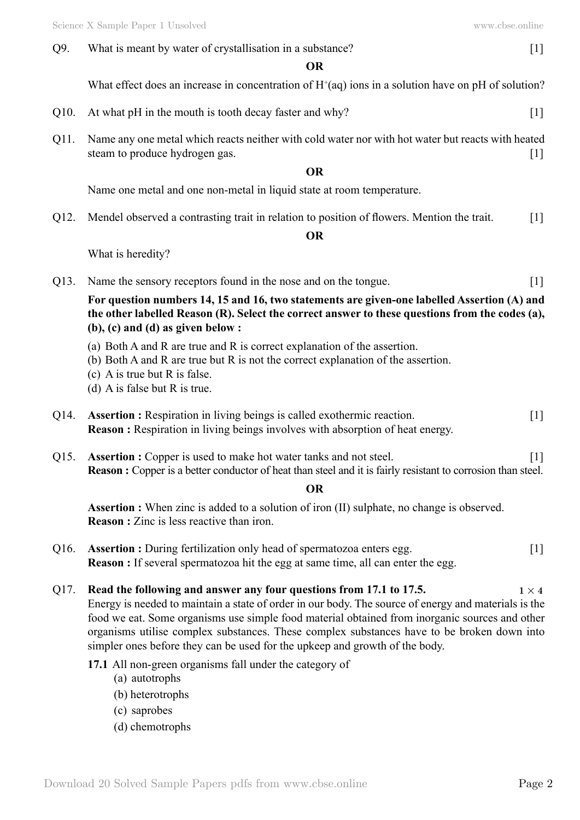Q9. What is meant by water of crystallisation in a substance? [1]

What effect does an increase in concentration of  $H^+(aq)$  ions in a solution have on pH of solution?

- Q10. At what pH in the mouth is tooth decay faster and why? [1]
- Q11. Name any one metal which reacts neither with cold water nor with hot water but reacts with heated steam to produce hydrogen gas. [1]

#### **O**

Name one metal and one non-metal in liquid state at room temperature.

Q12. Mendel observed a contrasting trait in relation to position of flowers. Mention the trait. [1]

### **O**

What is heredity?

Q13. Name the sensory receptors found in the nose and on the tongue. [1]

**For question numbers 14, 15 and 16, two statements are given-one labelled Assertion (A) and the other labelled Reason (R). Select the correct answer to these questions from the codes (a), (b), (c) and (d) as given below :**

- (a) Both A and R are true and R is correct explanation of the assertion.
- (b) Both A and R are true but R is not the correct explanation of the assertion.
- (c) A is true but R is false.
- (d) A is false but R is true.
- Q14. **Assertion :** Respiration in living beings is called exothermic reaction. [1] **Reason :** Respiration in living beings involves with absorption of heat energy.
- Q15. **Assertion :** Copper is used to make hot water tanks and not steel. [1] **Reason** : Copper is a better conductor of heat than steel and it is fairly resistant to corrosion than steel.

### **O**

Assertion : When zinc is added to a solution of iron (II) sulphate, no change is observed. **Reason :** Zinc is less reactive than iron.

- Q16. **Assertion :** During fertilization only head of spermatozoa enters egg. [1] **Reason :** If several spermatozoa hit the egg at same time, all can enter the egg.
- Q17. **Read the following and answer any four questions from 17.1 to 17.5.**  $1 \times 4$ Energy is needed to maintain a state of order in our body. The source of energy and materials is the food we eat. Some organisms use simple food material obtained from inorganic sources and other organisms utilise complex substances. These complex substances have to be broken down into simpler ones before they can be used for the upkeep and growth of the body.
	- **17.1** All non-green organisms fall under the category of
		- (a) autotrophs
		- (b) heterotrophs
		- (c) saprobes
		- (d) chemotrophs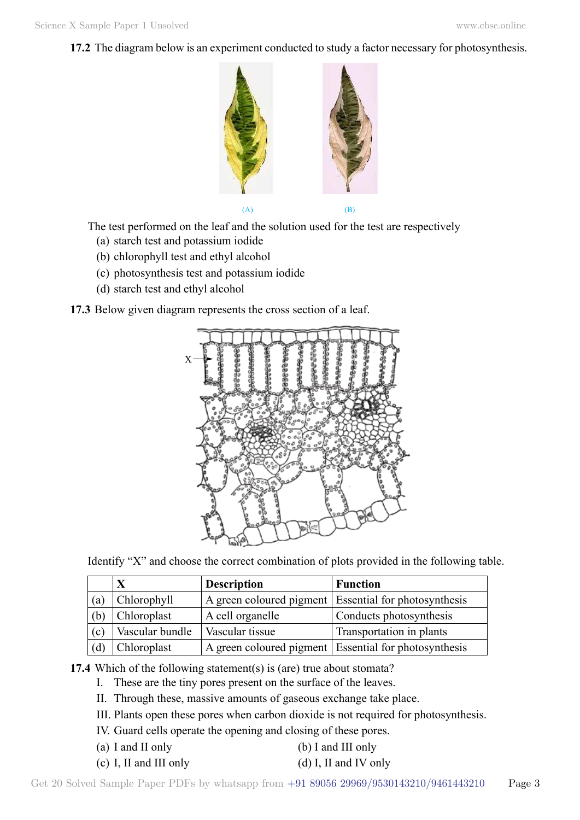**17.2** The diagram below is an experiment conducted to study a factor necessary for photosynthesis.



The test performed on the leaf and the solution used for the test are respectively

- (a) starch test and potassium iodide
- (b) chlorophyll test and ethyl alcohol
- (c) photosynthesis test and potassium iodide
- (d) starch test and ethyl alcohol

**17.3** Below given diagram represents the cross section of a leaf.



Identify "X" and choose the correct combination of plots provided in the following table.

|     | X               | <b>Description</b> | <b>Function</b>                                         |
|-----|-----------------|--------------------|---------------------------------------------------------|
| (a) | Chlorophyll     |                    | A green coloured pigment Essential for photosynthesis   |
| (b) | Chloroplast     | A cell organelle   | Conducts photosynthesis                                 |
| (c) | Vascular bundle | Vascular tissue    | Transportation in plants                                |
| (d) | Chloroplast     |                    | A green coloured pigment   Essential for photosynthesis |

**17.4** Which of the following statement(s) is (are) true about stomata?

- I. These are the tiny pores present on the surface of the leaves.
- II. Through these, massive amounts of gaseous exchange take place.
- III. Plants open these pores when carbon dioxide is not required for photosynthesis.
- IV. Guard cells operate the opening and closing of these pores.
- (a) I and II only (b) I and III only
- (c) I, II and III only  $(d)$  I, II and IV only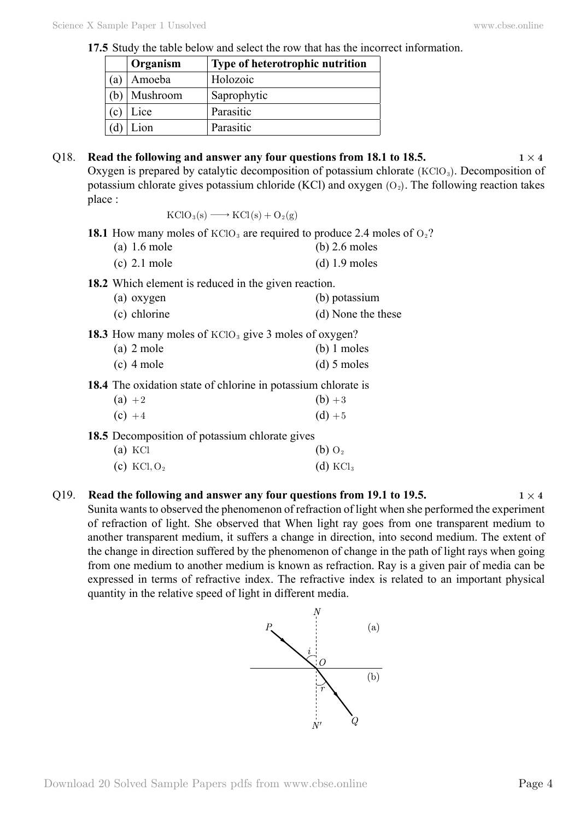**17.5** Study the table below and select the row that has the incorrect information.

|              | Organism | Type of heterotrophic nutrition |
|--------------|----------|---------------------------------|
| (a)          | Amoeba   | Holozoic                        |
|              | Mushroom | Saprophytic                     |
| $\mathbf{c}$ | Lice     | Parasitic                       |
|              | ion      | Parasitic                       |

# Q18. **Read the following and answer any four questions from 18.1 to 18.5.**  $1 \times 4$ Oxygen is prepared by catalytic decomposition of potassium chlorate  $(KClO<sub>3</sub>)$ . Decomposition of potassium chlorate gives potassium chloride (KCl) and oxygen  $(O_2)$ . The following reaction takes place :  $KClO<sub>3</sub>(s) \longrightarrow KCl(s) + O<sub>2</sub>(g)$ **18.1** How many moles of KClO<sub>3</sub> are required to produce 2.4 moles of  $O<sub>2</sub>$ ? (a) 1.6 mole (b) 2.6 moles (c)  $2.1$  mole (d)  $1.9$  moles **18.2** Which element is reduced in the given reaction. (a) oxygen (b) potassium (c) chlorine (d) None the these **18.3** How many moles of KClO<sub>3</sub> give 3 moles of oxygen? (a) 2 mole (b) 1 moles  $\alpha$  4 mole (d) 5 moles **18.4** The oxidation state of chlorine in potassium chlorate is (a)  $+2$  (b)  $+3$ (c)  $+4$  (d)  $+5$ **18.5** Decomposition of potassium chlorate gives (a) KCl (b)  $O_2$ (c) KCl,  $O_2$  (d) KCl<sub>3</sub>

### Q19. **Read the following and answer any four questions from 19.1 to 19.5.**  $1 \times 4$ Sunita wants to observed the phenomenon of refraction of light when she performed the experiment of refraction of light. She observed that When light ray goes from one transparent medium to another transparent medium, it suffers a change in direction, into second medium. The extent of the change in direction suffered by the phenomenon of change in the path of light rays when going from one medium to another medium is known as refraction. Ray is a given pair of media can be expressed in terms of refractive index. The refractive index is related to an important physical quantity in the relative speed of light in different media.

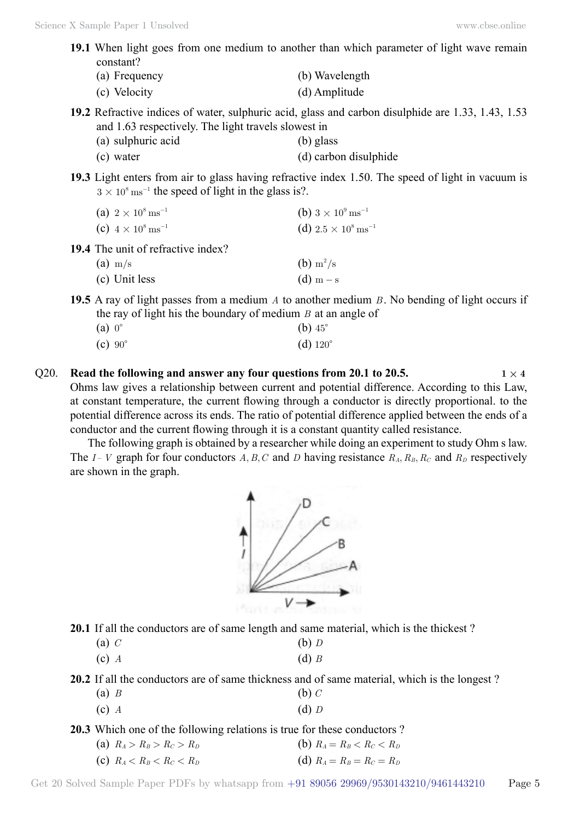**19.1** When light goes from one medium to another than which parameter of light wave remain constant?

| (a) Frequency | (b) Wavelength |
|---------------|----------------|
| (c) Velocity  | (d) Amplitude  |

- **19.2** Refractive indices of water, sulphuric acid, glass and carbon disulphide are 1.33, 1.43, 1.53 and 1.63 respectively. The light travels slowest in
	- (a) sulphuric acid (b) glass
	- (c) water (d) carbon disulphide
- **19.3** Light enters from air to glass having refractive index 1.50. The speed of light in vacuum is  $3 \times 10^8$  ms<sup>-1</sup> the speed of light in the glass is?.

| (a) $2 \times 10^8 \text{ ms}^{-1}$ | (b) $3 \times 10^9 \text{ ms}^{-1}$ |
|-------------------------------------|-------------------------------------|
| (c) $4 \times 10^8 \text{ ms}^{-1}$ | (d) $2.5 \times 10^8 \,\rm ms^{-1}$ |

**19.4** The unit of refractive index?

| $(a)$ m/s     | (b) $\rm m^2/s$ |
|---------------|-----------------|
| (c) Unit less | $(d)$ m – s     |

**19.5** A ray of light passes from a medium *A* to another medium *B* . No bending of light occurs if the ray of light his the boundary of medium *B* at an angle of

| $(a) 0^{\circ}$               | (b) $45^\circ$    |
|-------------------------------|-------------------|
| $\left( \text{c} \right)$ 90° | (d) $120^{\circ}$ |

Q20. **Read the following and answer any four questions from 20.1 to 20.5.**  $1 \times 4$ Ohms law gives a relationship between current and potential difference. According to this Law, at constant temperature, the current flowing through a conductor is directly proportional. to the potential difference across its ends. The ratio of potential difference applied between the ends of a conductor and the current flowing through it is a constant quantity called resistance.

The following graph is obtained by a researcher while doing an experiment to study Ohm s law. The *I*- *V* graph for four conductors *A*, *B*, *C* and *D* having resistance  $R_A$ ,  $R_B$ ,  $R_C$  and  $R_D$  respectively are shown in the graph.



**20.1** If all the conductors are of same length and same material, which is the thickest ?

| (a) $C$<br>(b) $D$ |  |
|--------------------|--|
|                    |  |

(c) *A* (d) *B*

**20.2** If all the conductors are of same thickness and of same material, which is the longest ?

- (a) *B* (b) *C*
- (c) *A* (d) *D*

**20.3** Which one of the following relations is true for these conductors ?

(a)  $R_A > R_B > R_C > R_D$  (b)  $R_A = R_B < R_C < R_D$ (c)  $R_A < R_B < R_C < R_D$  (d)  $R_A = R_B = R_C = R_D$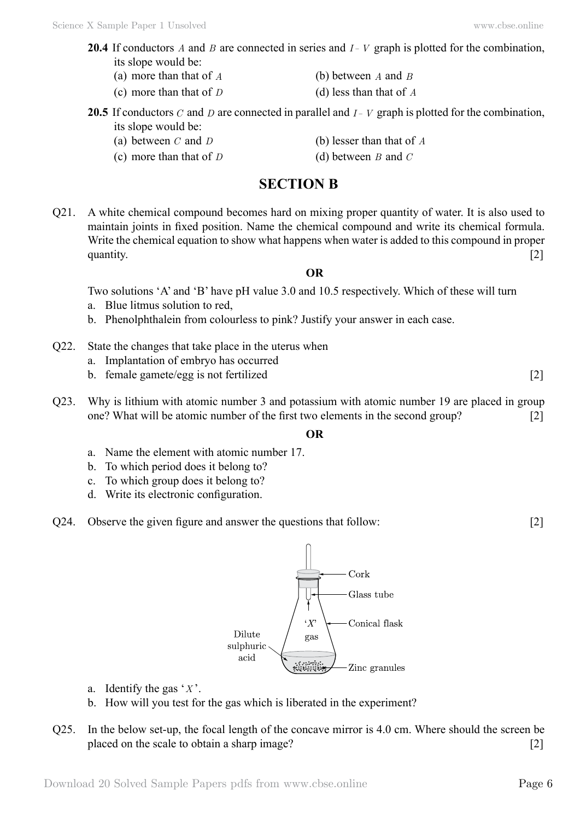- **20.4** If conductors *A* and *B* are connected in series and *I V* graph is plotted for the combination, its slope would be:
	- (a) more than that of *A* (b) between *A* and *B*
	- (c) more than that of *D* (d) less than that of *A*
- **20.5** If conductors *C* and *D* are connected in parallel and  $I V$  graph is plotted for the combination, its slope would be:
	- (a) between *C* and *D* (b) lesser than that of *A*
	- (c) more than that of *D* (d) between *B* and *C*

### **Section B**

Q21. A white chemical compound becomes hard on mixing proper quantity of water. It is also used to maintain joints in fixed position. Name the chemical compound and write its chemical formula. Write the chemical equation to show what happens when water is added to this compound in proper quantity.  $[2]$ 

### **O**

Two solutions 'A' and 'B' have pH value 3.0 and 10.5 respectively. Which of these will turn

- a. Blue litmus solution to red,
- b. Phenolphthalein from colourless to pink? Justify your answer in each case.
- Q22. State the changes that take place in the uterus when
	- a. Implantation of embryo has occurred
	- b. female gamete/egg is not fertilized [2]
- Q23. Why is lithium with atomic number 3 and potassium with atomic number 19 are placed in group one? What will be atomic number of the first two elements in the second group? [2]

### **O**

- a. Name the element with atomic number 17.
- b. To which period does it belong to?
- c. To which group does it belong to?
- d. Write its electronic configuration.
- Q24. Observe the given figure and answer the questions that follow: [2]



- a. Identify the gas '*X* '.
- b. How will you test for the gas which is liberated in the experiment?
- Q25. In the below set-up, the focal length of the concave mirror is 4.0 cm. Where should the screen be placed on the scale to obtain a sharp image? [2]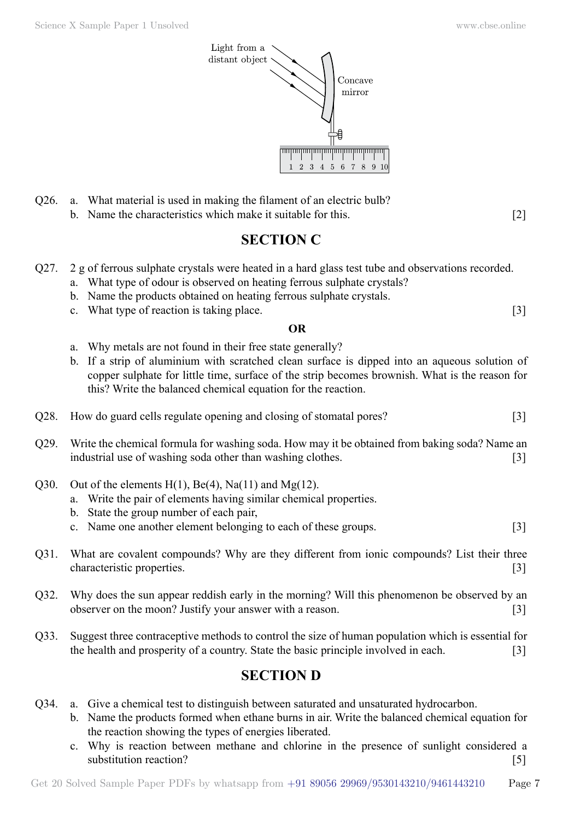Science X Sample Paper 1 Unsolved [www.cbse.online](http://www.cbse.online)



- Q26. a. What material is used in making the filament of an electric bulb?
	- b. Name the characteristics which make it suitable for this. [2]

# **Section C**

- Q27. 2 g of ferrous sulphate crystals were heated in a hard glass test tube and observations recorded.
	- a. What type of odour is observed on heating ferrous sulphate crystals?
	- b. Name the products obtained on heating ferrous sulphate crystals.
	- c. What type of reaction is taking place. [3]

### **O**

- a. Why metals are not found in their free state generally?
- b. If a strip of aluminium with scratched clean surface is dipped into an aqueous solution of copper sulphate for little time, surface of the strip becomes brownish. What is the reason for this? Write the balanced chemical equation for the reaction.
- Q28. How do guard cells regulate opening and closing of stomatal pores? [3]
- Q29. Write the chemical formula for washing soda. How may it be obtained from baking soda? Name an industrial use of washing soda other than washing clothes. [3]
- Q30. Out of the elements  $H(1)$ ,  $Be(4)$ ,  $Na(11)$  and  $Mg(12)$ .
	- a. Write the pair of elements having similar chemical properties.
	- b. State the group number of each pair,
	- c. Name one another element belonging to each of these groups. [3]
- Q31. What are covalent compounds? Why are they different from ionic compounds? List their three characteristic properties. [3]
- Q32. Why does the sun appear reddish early in the morning? Will this phenomenon be observed by an observer on the moon? Justify your answer with a reason. [3]
- Q33. Suggest three contraceptive methods to control the size of human population which is essential for the health and prosperity of a country. State the basic principle involved in each. [3]

# **Section D**

- Q34. a. Give a chemical test to distinguish between saturated and unsaturated hydrocarbon.
	- b. Name the products formed when ethane burns in air. Write the balanced chemical equation for the reaction showing the types of energies liberated.
	- c. Why is reaction between methane and chlorine in the presence of sunlight considered a substitution reaction? [5]